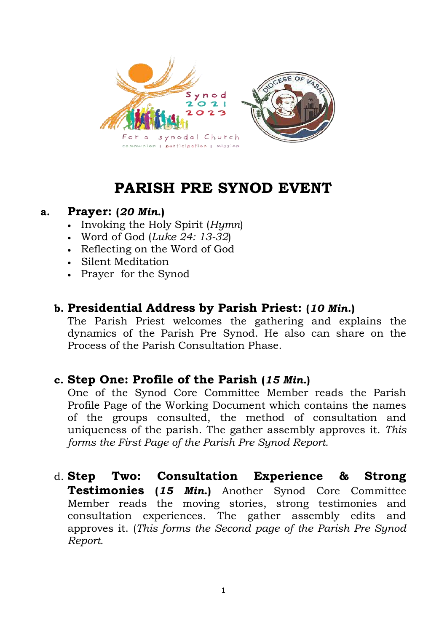

# **PARISH PRE SYNOD EVENT**

### **a. Prayer: (***20 Min.***)**

- Invoking the Holy Spirit (*Hymn*)
- Word of God (*Luke 24: 13-32*)
- Reflecting on the Word of God
- Silent Meditation
- Prayer for the Synod

# **b. Presidential Address by Parish Priest: (***10 Min.***)**

The Parish Priest welcomes the gathering and explains the dynamics of the Parish Pre Synod. He also can share on the Process of the Parish Consultation Phase.

# **c. Step One: Profile of the Parish (***15 Min.***)**

One of the Synod Core Committee Member reads the Parish Profile Page of the Working Document which contains the names of the groups consulted, the method of consultation and uniqueness of the parish. The gather assembly approves it. *This forms the First Page of the Parish Pre Synod Report.*

d. **Step Two: Consultation Experience & Strong Testimonies (***15 Min***.)** Another Synod Core Committee Member reads the moving stories, strong testimonies and consultation experiences. The gather assembly edits and approves it. (*This forms the Second page of the Parish Pre Synod Report.*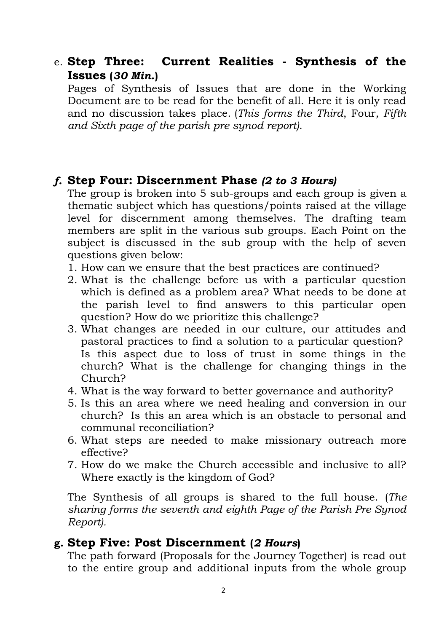e. **Step Three: Current Realities - Synthesis of the Issues (***30 Min.***)**

Pages of Synthesis of Issues that are done in the Working Document are to be read for the benefit of all. Here it is only read and no discussion takes place. (*This forms the Third*, Four*, Fifth and Sixth page of the parish pre synod report)*.

# *f.* **Step Four: Discernment Phase** *(2 to 3 Hours)*

The group is broken into 5 sub-groups and each group is given a thematic subject which has questions/points raised at the village level for discernment among themselves. The drafting team members are split in the various sub groups. Each Point on the subject is discussed in the sub group with the help of seven questions given below:

- 1. How can we ensure that the best practices are continued?
- 2. What is the challenge before us with a particular question which is defined as a problem area? What needs to be done at the parish level to find answers to this particular open question? How do we prioritize this challenge?
- 3. What changes are needed in our culture, our attitudes and pastoral practices to find a solution to a particular question? Is this aspect due to loss of trust in some things in the church? What is the challenge for changing things in the Church?
- 4. What is the way forward to better governance and authority?
- 5. Is this an area where we need healing and conversion in our church? Is this an area which is an obstacle to personal and communal reconciliation?
- 6. What steps are needed to make missionary outreach more effective?
- 7. How do we make the Church accessible and inclusive to all? Where exactly is the kingdom of God?

The Synthesis of all groups is shared to the full house. (*The sharing forms the seventh and eighth Page of the Parish Pre Synod Report).*

#### **g. Step Five: Post Discernment (***2 Hours***)**

The path forward (Proposals for the Journey Together) is read out to the entire group and additional inputs from the whole group